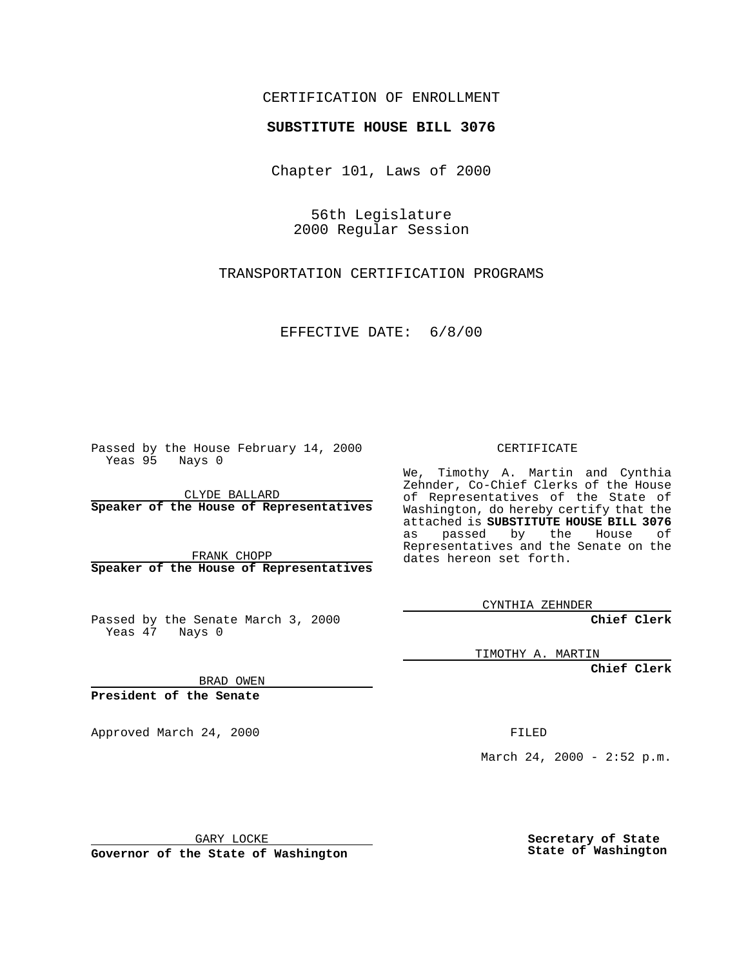## CERTIFICATION OF ENROLLMENT

## **SUBSTITUTE HOUSE BILL 3076**

Chapter 101, Laws of 2000

56th Legislature 2000 Regular Session

TRANSPORTATION CERTIFICATION PROGRAMS

EFFECTIVE DATE: 6/8/00

Passed by the House February 14, 2000 Yeas 95 Nays 0

CLYDE BALLARD **Speaker of the House of Representatives**

FRANK CHOPP **Speaker of the House of Representatives**

Passed by the Senate March 3, 2000 Yeas 47 Nays 0

CERTIFICATE

We, Timothy A. Martin and Cynthia Zehnder, Co-Chief Clerks of the House of Representatives of the State of Washington, do hereby certify that the attached is **SUBSTITUTE HOUSE BILL 3076** as passed by the House of Representatives and the Senate on the dates hereon set forth.

CYNTHIA ZEHNDER

**Chief Clerk**

TIMOTHY A. MARTIN

**Chief Clerk**

BRAD OWEN

**President of the Senate**

Approved March 24, 2000 FILED

March 24, 2000 - 2:52 p.m.

GARY LOCKE

**Governor of the State of Washington**

**Secretary of State State of Washington**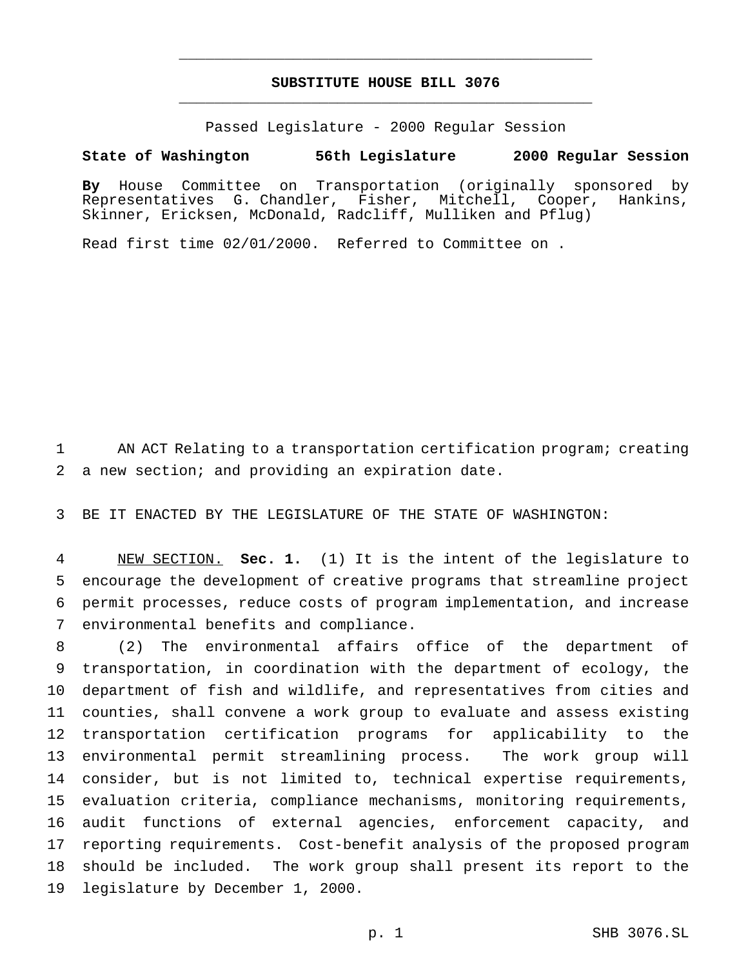## **SUBSTITUTE HOUSE BILL 3076** \_\_\_\_\_\_\_\_\_\_\_\_\_\_\_\_\_\_\_\_\_\_\_\_\_\_\_\_\_\_\_\_\_\_\_\_\_\_\_\_\_\_\_\_\_\_\_

\_\_\_\_\_\_\_\_\_\_\_\_\_\_\_\_\_\_\_\_\_\_\_\_\_\_\_\_\_\_\_\_\_\_\_\_\_\_\_\_\_\_\_\_\_\_\_

Passed Legislature - 2000 Regular Session

## **State of Washington 56th Legislature 2000 Regular Session**

**By** House Committee on Transportation (originally sponsored by Representatives G. Chandler, Fisher, Mitchell, Cooper, Hankins, Skinner, Ericksen, McDonald, Radcliff, Mulliken and Pflug)

Read first time 02/01/2000. Referred to Committee on .

 AN ACT Relating to a transportation certification program; creating a new section; and providing an expiration date.

BE IT ENACTED BY THE LEGISLATURE OF THE STATE OF WASHINGTON:

 NEW SECTION. **Sec. 1.** (1) It is the intent of the legislature to encourage the development of creative programs that streamline project permit processes, reduce costs of program implementation, and increase environmental benefits and compliance.

 (2) The environmental affairs office of the department of transportation, in coordination with the department of ecology, the department of fish and wildlife, and representatives from cities and counties, shall convene a work group to evaluate and assess existing transportation certification programs for applicability to the environmental permit streamlining process. The work group will consider, but is not limited to, technical expertise requirements, evaluation criteria, compliance mechanisms, monitoring requirements, audit functions of external agencies, enforcement capacity, and reporting requirements. Cost-benefit analysis of the proposed program should be included. The work group shall present its report to the legislature by December 1, 2000.